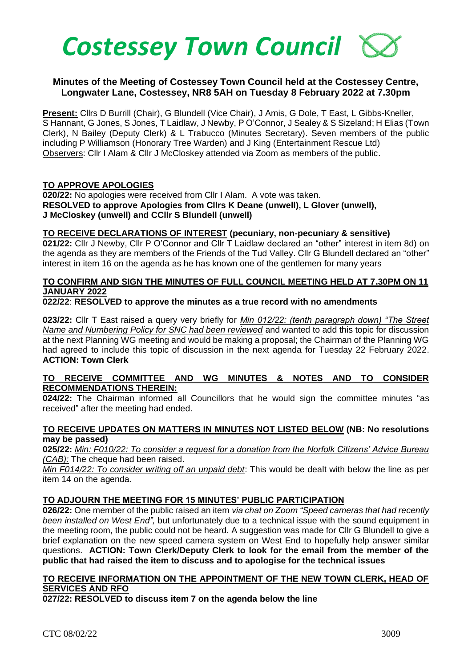

### **Minutes of the Meeting of Costessey Town Council held at the Costessey Centre, Longwater Lane, Costessey, NR8 5AH on Tuesday 8 February 2022 at 7.30pm**

**Present:** Cllrs D Burrill (Chair), G Blundell (Vice Chair), J Amis, G Dole, T East, L Gibbs-Kneller, S Hannant, G Jones, S Jones, T Laidlaw, J Newby, P O'Connor, J Sealey & S Sizeland; H Elias (Town Clerk), N Bailey (Deputy Clerk) & L Trabucco (Minutes Secretary). Seven members of the public including P Williamson (Honorary Tree Warden) and J King (Entertainment Rescue Ltd) Observers: Cllr I Alam & Cllr J McCloskey attended via Zoom as members of the public.

### **TO APPROVE APOLOGIES**

**020/22:** No apologies were received from Cllr I Alam. A vote was taken. **RESOLVED to approve Apologies from Cllrs K Deane (unwell), L Glover (unwell), J McCloskey (unwell) and CCllr S Blundell (unwell)**

#### **TO RECEIVE DECLARATIONS OF INTEREST (pecuniary, non-pecuniary & sensitive)**

**021/22:** Cllr J Newby, Cllr P O'Connor and Cllr T Laidlaw declared an "other" interest in item 8d) on the agenda as they are members of the Friends of the Tud Valley. Cllr G Blundell declared an "other" interest in item 16 on the agenda as he has known one of the gentlemen for many years

# **TO CONFIRM AND SIGN THE MINUTES OF FULL COUNCIL MEETING HELD AT 7.30PM ON 11 JANUARY 2022**

## **022/22**: **RESOLVED to approve the minutes as a true record with no amendments**

**023/22:** Cllr T East raised a query very briefly for *Min 012/22: (tenth paragraph down) "The Street Name and Numbering Policy for SNC had been reviewed* and wanted to add this topic for discussion at the next Planning WG meeting and would be making a proposal; the Chairman of the Planning WG had agreed to include this topic of discussion in the next agenda for Tuesday 22 February 2022. **ACTION: Town Clerk**

### **TO RECEIVE COMMITTEE AND WG MINUTES & NOTES AND TO CONSIDER RECOMMENDATIONS THEREIN:**

**024/22:** The Chairman informed all Councillors that he would sign the committee minutes "as received" after the meeting had ended.

### **TO RECEIVE UPDATES ON MATTERS IN MINUTES NOT LISTED BELOW (NB: No resolutions may be passed)**

**025/22:** *Min: F010/22: To consider a request for a donation from the Norfolk Citizens' Advice Bureau (CAB):* The cheque had been raised.

*Min F014/22: To consider writing off an unpaid debt*: This would be dealt with below the line as per item 14 on the agenda.

### **TO ADJOURN THE MEETING FOR 15 MINUTES' PUBLIC PARTICIPATION**

**026/22:** One member of the public raised an item *via chat on Zoom "Speed cameras that had recently been installed on West End",* but unfortunately due to a technical issue with the sound equipment in the meeting room, the public could not be heard. A suggestion was made for Cllr G Blundell to give a brief explanation on the new speed camera system on West End to hopefully help answer similar questions. **ACTION: Town Clerk/Deputy Clerk to look for the email from the member of the public that had raised the item to discuss and to apologise for the technical issues**

#### **TO RECEIVE INFORMATION ON THE APPOINTMENT OF THE NEW TOWN CLERK, HEAD OF SERVICES AND RFO**

**027/22: RESOLVED to discuss item 7 on the agenda below the line**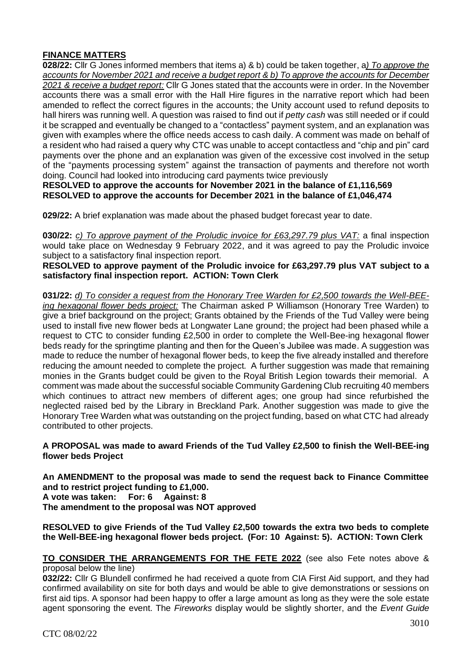# **FINANCE MATTERS**

**028/22:** Cllr G Jones informed members that items a) & b) could be taken together, a*) To approve the accounts for November 2021 and receive a budget report & b) To approve the accounts for December 2021 & receive a budget report:* Cllr G Jones stated that the accounts were in order. In the November accounts there was a small error with the Hall Hire figures in the narrative report which had been amended to reflect the correct figures in the accounts; the Unity account used to refund deposits to hall hirers was running well. A question was raised to find out if *petty cash* was still needed or if could it be scrapped and eventually be changed to a "contactless" payment system, and an explanation was given with examples where the office needs access to cash daily. A comment was made on behalf of a resident who had raised a query why CTC was unable to accept contactless and "chip and pin" card payments over the phone and an explanation was given of the excessive cost involved in the setup of the "payments processing system" against the transaction of payments and therefore not worth doing. Council had looked into introducing card payments twice previously

**RESOLVED to approve the accounts for November 2021 in the balance of £1,116,569 RESOLVED to approve the accounts for December 2021 in the balance of £1,046,474**

**029/22:** A brief explanation was made about the phased budget forecast year to date.

**030/22:** *c) To approve payment of the Proludic invoice for £63,297.79 plus VAT:* a final inspection would take place on Wednesday 9 February 2022, and it was agreed to pay the Proludic invoice subject to a satisfactory final inspection report.

**RESOLVED to approve payment of the Proludic invoice for £63,297.79 plus VAT subject to a satisfactory final inspection report. ACTION: Town Clerk**

**031/22:** *d) To consider a request from the Honorary Tree Warden for £2,500 towards the Well-BEEing hexagonal flower beds project:* The Chairman asked P Williamson (Honorary Tree Warden) to give a brief background on the project; Grants obtained by the Friends of the Tud Valley were being used to install five new flower beds at Longwater Lane ground; the project had been phased while a request to CTC to consider funding £2,500 in order to complete the Well-Bee-ing hexagonal flower beds ready for the springtime planting and then for the Queen's Jubilee was made. A suggestion was made to reduce the number of hexagonal flower beds, to keep the five already installed and therefore reducing the amount needed to complete the project. A further suggestion was made that remaining monies in the Grants budget could be given to the Royal British Legion towards their memorial. A comment was made about the successful sociable Community Gardening Club recruiting 40 members which continues to attract new members of different ages; one group had since refurbished the neglected raised bed by the Library in Breckland Park. Another suggestion was made to give the Honorary Tree Warden what was outstanding on the project funding, based on what CTC had already contributed to other projects.

**A PROPOSAL was made to award Friends of the Tud Valley £2,500 to finish the Well-BEE-ing flower beds Project** 

**An AMENDMENT to the proposal was made to send the request back to Finance Committee and to restrict project funding to £1,000. A vote was taken: For: 6 Against: 8 The amendment to the proposal was NOT approved**

**RESOLVED to give Friends of the Tud Valley £2,500 towards the extra two beds to complete the Well-BEE-ing hexagonal flower beds project. (For: 10 Against: 5). ACTION: Town Clerk**

**TO CONSIDER THE ARRANGEMENTS FOR THE FETE 2022** (see also Fete notes above & proposal below the line)

**032/22:** Cllr G Blundell confirmed he had received a quote from CIA First Aid support, and they had confirmed availability on site for both days and would be able to give demonstrations or sessions on first aid tips. A sponsor had been happy to offer a large amount as long as they were the sole estate agent sponsoring the event. The *Fireworks* display would be slightly shorter, and the *Event Guide*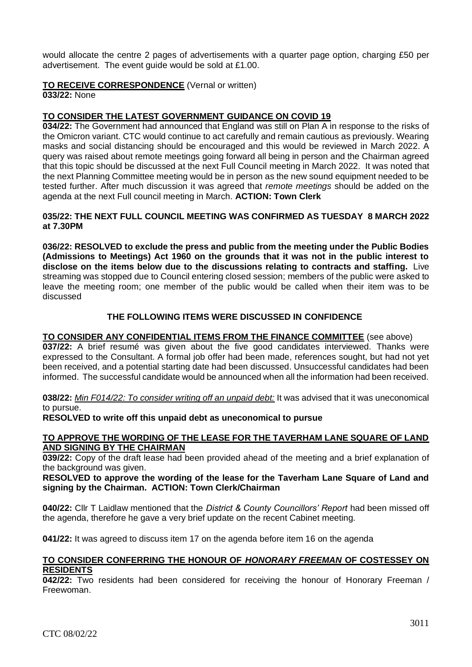would allocate the centre 2 pages of advertisements with a quarter page option, charging £50 per advertisement. The event guide would be sold at £1.00.

### **TO RECEIVE CORRESPONDENCE** (Vernal or written)

**033/22:** None

#### **TO CONSIDER THE LATEST GOVERNMENT GUIDANCE ON COVID 19**

**034/22:** The Government had announced that England was still on Plan A in response to the risks of the Omicron variant. CTC would continue to act carefully and remain cautious as previously. Wearing masks and social distancing should be encouraged and this would be reviewed in March 2022. A query was raised about remote meetings going forward all being in person and the Chairman agreed that this topic should be discussed at the next Full Council meeting in March 2022. It was noted that the next Planning Committee meeting would be in person as the new sound equipment needed to be tested further. After much discussion it was agreed that *remote meetings* should be added on the agenda at the next Full council meeting in March. **ACTION: Town Clerk**

#### **035/22: THE NEXT FULL COUNCIL MEETING WAS CONFIRMED AS TUESDAY 8 MARCH 2022 at 7.30PM**

**036/22: RESOLVED to exclude the press and public from the meeting under the Public Bodies (Admissions to Meetings) Act 1960 on the grounds that it was not in the public interest to disclose on the items below due to the discussions relating to contracts and staffing.** Live streaming was stopped due to Council entering closed session; members of the public were asked to leave the meeting room; one member of the public would be called when their item was to be discussed

### **THE FOLLOWING ITEMS WERE DISCUSSED IN CONFIDENCE**

#### **TO CONSIDER ANY CONFIDENTIAL ITEMS FROM THE FINANCE COMMITTEE** (see above)

**037/22:** A brief resumé was given about the five good candidates interviewed. Thanks were expressed to the Consultant. A formal job offer had been made, references sought, but had not yet been received, and a potential starting date had been discussed. Unsuccessful candidates had been informed. The successful candidate would be announced when all the information had been received.

#### **038/22:** *Min F014/22: To consider writing off an unpaid debt:* It was advised that it was uneconomical to pursue.

#### **RESOLVED to write off this unpaid debt as uneconomical to pursue**

#### **TO APPROVE THE WORDING OF THE LEASE FOR THE TAVERHAM LANE SQUARE OF LAND AND SIGNING BY THE CHAIRMAN**

**039/22:** Copy of the draft lease had been provided ahead of the meeting and a brief explanation of the background was given.

#### **RESOLVED to approve the wording of the lease for the Taverham Lane Square of Land and signing by the Chairman. ACTION: Town Clerk/Chairman**

**040/22:** Cllr T Laidlaw mentioned that the *District & County Councillors' Report* had been missed off the agenda, therefore he gave a very brief update on the recent Cabinet meeting.

**041/22:** It was agreed to discuss item 17 on the agenda before item 16 on the agenda

#### **TO CONSIDER CONFERRING THE HONOUR OF** *HONORARY FREEMAN* **OF COSTESSEY ON RESIDENTS**

**042/22:** Two residents had been considered for receiving the honour of Honorary Freeman / Freewoman.